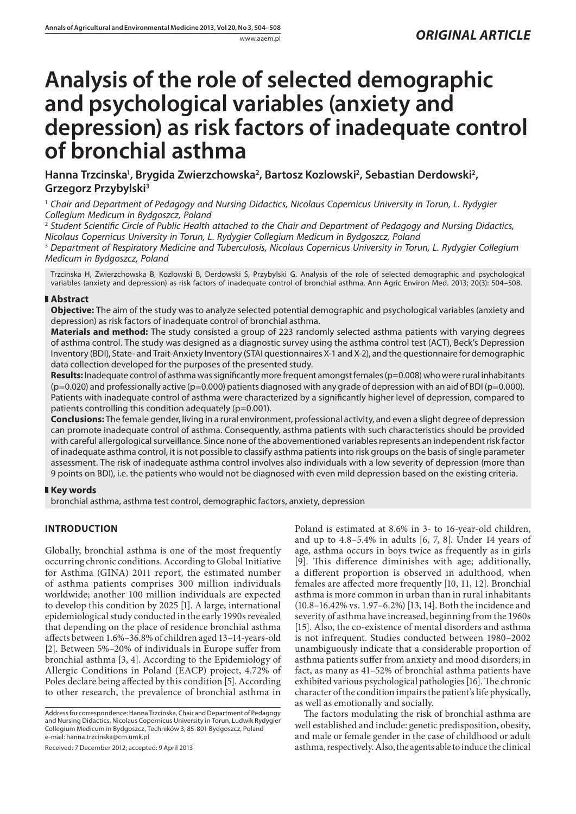# **Analysis of the role of selected demographic and psychological variables (anxiety and depression) as risk factors of inadequate control of bronchial asthma**

Hanna Trzcinska<sup>1</sup>, Brygida Zwierzchowska<sup>2</sup>, Bartosz Kozlowski<sup>2</sup>, Sebastian Derdowski<sup>2</sup>, **Grzegorz Przybylski3**

1  *Chair and Department of Pedagogy and Nursing Didactics, Nicolaus Copernicus University in Torun, L. Rydygier Collegium Medicum in Bydgoszcz, Poland*

2  *Student Scientific Circle of Public Health attached to the Chair and Department of Pedagogy and Nursing Didactics, Nicolaus Copernicus University in Torun, L. Rydygier Collegium Medicum in Bydgoszcz, Poland*

3  *Department of Respiratory Medicine and Tuberculosis, Nicolaus Copernicus University in Torun, L. Rydygier Collegium Medicum in Bydgoszcz, Poland*

Trzcinska H, Zwierzchowska B, Kozlowski B, Derdowski S, Przybylski G. Analysis of the role of selected demographic and psychological variables (anxiety and depression) as risk factors of inadequate control of bronchial asthma. Ann Agric Environ Med. 2013; 20(3): 504–508.

# **Abstract**

**Objective:** The aim of the study was to analyze selected potential demographic and psychological variables (anxiety and depression) as risk factors of inadequate control of bronchial asthma.

**Materials and method:** The study consisted a group of 223 randomly selected asthma patients with varying degrees of asthma control. The study was designed as a diagnostic survey using the asthma control test (ACT), Beck's Depression Inventory (BDI), State- and Trait-Anxiety Inventory (STAI questionnaires X-1 and X-2), and the questionnaire for demographic data collection developed for the purposes of the presented study.

Results: Inadequate control of asthma was significantly more frequent amongst females (p=0.008) who were rural inhabitants  $(p=0.020)$  and professionally active  $(p=0.000)$  patients diagnosed with any grade of depression with an aid of BDI ( $p=0.000$ ). Patients with inadequate control of asthma were characterized by a significantly higher level of depression, compared to patients controlling this condition adequately (p=0.001).

**Conclusions:** The female gender, living in a rural environment, professional activity, and even a slight degree of depression can promote inadequate control of asthma. Consequently, asthma patients with such characteristics should be provided with careful allergological surveillance. Since none of the abovementioned variables represents an independent risk factor of inadequate asthma control, it is not possible to classify asthma patients into risk groups on the basis of single parameter assessment. The risk of inadequate asthma control involves also individuals with a low severity of depression (more than 9 points on BDI), i.e. the patients who would not be diagnosed with even mild depression based on the existing criteria.

# **Key words**

bronchial asthma, asthma test control, demographic factors, anxiety, depression

# **INTRODUCTION**

Globally, bronchial asthma is one of the most frequently occurring chronic conditions. According to Global Initiative for Asthma (GINA) 2011 report, the estimated number of asthma patients comprises 300 million individuals worldwide; another 100 million individuals are expected to develop this condition by 2025 [1]. A large, international epidemiological study conducted in the early 1990s revealed that depending on the place of residence bronchial asthma affects between 1.6%–36.8% of children aged 13–14-years-old [2]. Between 5%–20% of individuals in Europe suffer from bronchial asthma [3, 4]. According to the Epidemiology of Allergic Conditions in Poland (EACP) project, 4.72% of Poles declare being affected by this condition [5]. According to other research, the prevalence of bronchial asthma in

Received: 7 December 2012; accepted: 9 April 2013

Poland is estimated at 8.6% in 3- to 16-year-old children, and up to 4.8–5.4% in adults [6, 7, 8]. Under 14 years of age, asthma occurs in boys twice as frequently as in girls [9]. This difference diminishes with age; additionally, a different proportion is observed in adulthood, when females are affected more frequently [10, 11, 12]. Bronchial asthma is more common in urban than in rural inhabitants (10.8–16.42% vs. 1.97–6.2%) [13, 14]. Both the incidence and severity of asthma have increased, beginning from the 1960s [15]. Also, the co-existence of mental disorders and asthma is not infrequent. Studies conducted between 1980–2002 unambiguously indicate that a considerable proportion of asthma patients suffer from anxiety and mood disorders; in fact, as many as 41–52% of bronchial asthma patients have exhibited various psychological pathologies [16]. The chronic character of the condition impairs the patient's life physically, as well as emotionally and socially.

The factors modulating the risk of bronchial asthma are well established and include: genetic predisposition, obesity, and male or female gender in the case of childhood or adult asthma, respectively. Also, the agents able to induce the clinical

Address for correspondence: Hanna Trzcinska, Chair and Department of Pedagogy and Nursing Didactics, Nicolaus Copernicus University in Torun, Ludwik Rydygier Collegium Medicum in Bydgoszcz, Techników 3, 85-801 Bydgoszcz, Poland e-mail: hanna.trzcinska@cm.umk.pl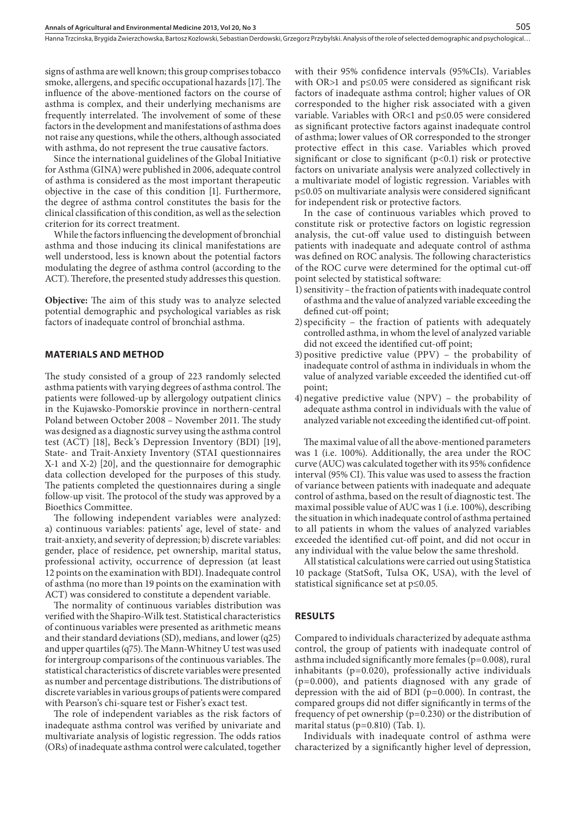Hanna Trzcinska, Brygida Zwierzchowska, Bartosz Kozlowski, Sebastian Derdowski, Grzegorz Przybylski . Analysis of the role of selected demographic and psychological…

signs of asthma are well known; this group comprises tobacco smoke, allergens, and specific occupational hazards [17]. The influence of the above-mentioned factors on the course of asthma is complex, and their underlying mechanisms are frequently interrelated. The involvement of some of these factors in the development and manifestations of asthma does not raise any questions, while the others, although associated with asthma, do not represent the true causative factors.

Since the international guidelines of the Global Initiative for Asthma (GINA) were published in 2006, adequate control of asthma is considered as the most important therapeutic objective in the case of this condition [1]. Furthermore, the degree of asthma control constitutes the basis for the clinical classification of this condition, as well as the selection criterion for its correct treatment.

While the factors influencing the development of bronchial asthma and those inducing its clinical manifestations are well understood, less is known about the potential factors modulating the degree of asthma control (according to the ACT). Therefore, the presented study addresses this question.

**Objective:** The aim of this study was to analyze selected potential demographic and psychological variables as risk factors of inadequate control of bronchial asthma.

#### **MATERIALS AND METHOD**

The study consisted of a group of 223 randomly selected asthma patients with varying degrees of asthma control. The patients were followed-up by allergology outpatient clinics in the Kujawsko-Pomorskie province in northern-central Poland between October 2008 – November 2011. The study was designed as a diagnostic survey using the asthma control test (ACT) [18], Beck's Depression Inventory (BDI) [19], State- and Trait-Anxiety Inventory (STAI questionnaires X-1 and X-2) [20], and the questionnaire for demographic data collection developed for the purposes of this study. The patients completed the questionnaires during a single follow-up visit. The protocol of the study was approved by a Bioethics Committee.

The following independent variables were analyzed: a) continuous variables: patients' age, level of state- and trait-anxiety, and severity of depression; b) discrete variables: gender, place of residence, pet ownership, marital status, professional activity, occurrence of depression (at least 12 points on the examination with BDI). Inadequate control of asthma (no more than 19 points on the examination with ACT) was considered to constitute a dependent variable.

The normality of continuous variables distribution was verified with the Shapiro-Wilk test. Statistical characteristics of continuous variables were presented as arithmetic means and their standard deviations (SD), medians, and lower (q25) and upper quartiles (q75). The Mann-Whitney U test was used for intergroup comparisons of the continuous variables. The statistical characteristics of discrete variables were presented as number and percentage distributions. The distributions of discrete variables in various groups of patients were compared with Pearson's chi-square test or Fisher's exact test.

The role of independent variables as the risk factors of inadequate asthma control was verified by univariate and multivariate analysis of logistic regression. The odds ratios (ORs) of inadequate asthma control were calculated, together

with their 95% confidence intervals (95%CIs). Variables with OR>1 and p≤0.05 were considered as significant risk factors of inadequate asthma control; higher values of OR corresponded to the higher risk associated with a given variable. Variables with OR<1 and p≤0.05 were considered as significant protective factors against inadequate control of asthma; lower values of OR corresponded to the stronger protective effect in this case. Variables which proved significant or close to significant  $(p<0.1)$  risk or protective factors on univariate analysis were analyzed collectively in a multivariate model of logistic regression. Variables with p≤0.05 on multivariate analysis were considered significant for independent risk or protective factors.

In the case of continuous variables which proved to constitute risk or protective factors on logistic regression analysis, the cut-off value used to distinguish between patients with inadequate and adequate control of asthma was defined on ROC analysis. The following characteristics of the ROC curve were determined for the optimal cut-off point selected by statistical software:

- 1)sensitivity the fraction of patients with inadequate control of asthma and the value of analyzed variable exceeding the defined cut-off point;
- 2)specificity the fraction of patients with adequately controlled asthma, in whom the level of analyzed variable did not exceed the identified cut-off point;
- 3)positive predictive value (PPV) the probability of inadequate control of asthma in individuals in whom the value of analyzed variable exceeded the identified cut-off point;
- 4)negative predictive value (NPV) the probability of adequate asthma control in individuals with the value of analyzed variable not exceeding the identified cut-off point.

The maximal value of all the above-mentioned parameters was 1 (i.e. 100%). Additionally, the area under the ROC curve (AUC) was calculated together with its 95% confidence interval (95% CI). This value was used to assess the fraction of variance between patients with inadequate and adequate control of asthma, based on the result of diagnostic test. The maximal possible value of AUC was 1 (i.e. 100%), describing the situation in which inadequate control of asthma pertained to all patients in whom the values of analyzed variables exceeded the identified cut-off point, and did not occur in any individual with the value below the same threshold.

All statistical calculations were carried out using Statistica 10 package (StatSoft, Tulsa OK, USA), with the level of statistical significance set at p≤0.05.

#### **RESULTS**

Compared to individuals characterized by adequate asthma control, the group of patients with inadequate control of asthma included significantly more females  $(p=0.008)$ , rural inhabitants (p=0.020), professionally active individuals (p=0.000), and patients diagnosed with any grade of depression with the aid of BDI (p=0.000). In contrast, the compared groups did not differ significantly in terms of the frequency of pet ownership (p=0.230) or the distribution of marital status (p=0.810) (Tab. 1).

Individuals with inadequate control of asthma were characterized by a significantly higher level of depression,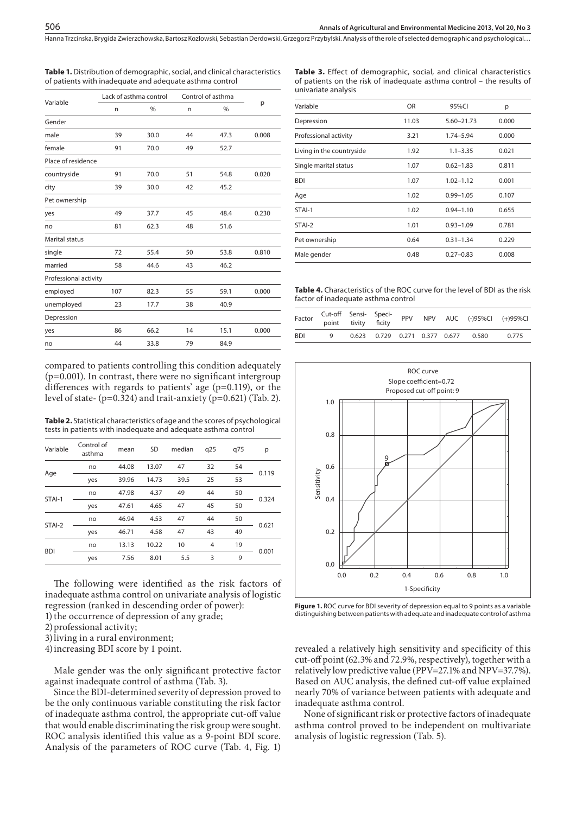Hanna Trzcinska, Brygida Zwierzchowska, Bartosz Kozlowski, Sebastian Derdowski, Grzegorz Przybylski . Analysis of the role of selected demographic and psychological…

| Variable              |     | Lack of asthma control | Control of asthma |      |       |
|-----------------------|-----|------------------------|-------------------|------|-------|
|                       | n   | $\frac{0}{0}$          | n                 | %    | p     |
| Gender                |     |                        |                   |      |       |
| male                  | 39  | 30.0                   | 44                | 47.3 | 0.008 |
| female                | 91  | 70.0                   | 49                | 52.7 |       |
| Place of residence    |     |                        |                   |      |       |
| countryside           | 91  | 70.0                   | 51                | 54.8 | 0.020 |
| city                  | 39  | 30.0                   | 42                | 45.2 |       |
| Pet ownership         |     |                        |                   |      |       |
| yes                   | 49  | 37.7                   | 45                | 48.4 | 0.230 |
| no                    | 81  | 62.3                   | 48                | 51.6 |       |
| <b>Marital status</b> |     |                        |                   |      |       |
| single                | 72  | 55.4                   | 50                | 53.8 | 0.810 |
| married               | 58  | 44.6                   | 43                | 46.2 |       |
| Professional activity |     |                        |                   |      |       |
| employed              | 107 | 82.3                   | 55                | 59.1 | 0.000 |
| unemployed            | 23  | 17.7                   | 38                | 40.9 |       |
| Depression            |     |                        |                   |      |       |
| yes                   | 86  | 66.2                   | 14                | 15.1 | 0.000 |
| no                    | 44  | 33.8                   | 79                | 84.9 |       |
|                       |     |                        |                   |      |       |

**Table 1.** Distribution of demographic, social, and clinical characteristics of patients with inadequate and adequate asthma control

compared to patients controlling this condition adequately  $(p=0.001)$ . In contrast, there were no significant intergroup differences with regards to patients' age (p=0.119), or the level of state- (p=0.324) and trait-anxiety (p=0.621) (Tab. 2).

**Table 2.** Statistical characteristics of age and the scores of psychological tests in patients with inadequate and adequate asthma control

| Control of<br>asthma | mean  | <b>SD</b> | median | q25 | q75 | р     |  |
|----------------------|-------|-----------|--------|-----|-----|-------|--|
| no                   | 44.08 | 13.07     | 47     | 32  | 54  |       |  |
| yes                  | 39.96 | 14.73     | 39.5   | 25  | 53  | 0.119 |  |
| no                   | 47.98 | 4.37      | 49     | 44  | 50  |       |  |
| yes                  | 47.61 | 4.65      | 47     | 45  | 50  | 0.324 |  |
| no                   | 46.94 | 4.53      | 47     | 44  | 50  |       |  |
| yes                  | 46.71 | 4.58      | 47     | 43  | 49  | 0.621 |  |
| no                   | 13.13 | 10.22     | 10     | 4   | 19  |       |  |
| yes                  | 7.56  | 8.01      | 5.5    | 3   | 9   | 0.001 |  |
|                      |       |           |        |     |     |       |  |

The following were identified as the risk factors of inadequate asthma control on univariate analysis of logistic regression (ranked in descending order of power):

- 1) the occurrence of depression of any grade;
- 2)professional activity;
- 3)living in a rural environment;
- 4)increasing BDI score by 1 point.

Male gender was the only significant protective factor against inadequate control of asthma (Tab. 3).

Since the BDI-determined severity of depression proved to be the only continuous variable constituting the risk factor of inadequate asthma control, the appropriate cut-off value that would enable discriminating the risk group were sought. ROC analysis identified this value as a 9-point BDI score. Analysis of the parameters of ROC curve (Tab. 4, Fig. 1)

|                     |  | Table 3. Effect of demographic, social, and clinical characteristics  |  |  |  |
|---------------------|--|-----------------------------------------------------------------------|--|--|--|
|                     |  | of patients on the risk of inadequate asthma control – the results of |  |  |  |
| univariate analysis |  |                                                                       |  |  |  |
|                     |  |                                                                       |  |  |  |

| Variable                  | <b>OR</b> | 95%CI         | p     |  |
|---------------------------|-----------|---------------|-------|--|
| Depression                | 11.03     | 5.60-21.73    | 0.000 |  |
| Professional activity     | 3.21      | 1.74-5.94     | 0.000 |  |
| Living in the countryside | 1.92      | $1.1 - 3.35$  | 0.021 |  |
| Single marital status     | 1.07      | $0.62 - 1.83$ | 0.811 |  |
| <b>BDI</b>                | 1.07      | $1.02 - 1.12$ | 0.001 |  |
| Age                       | 1.02      | $0.99 - 1.05$ | 0.107 |  |
| STAI-1                    | 1.02      | $0.94 - 1.10$ | 0.655 |  |
| STAI-2                    | 1.01      | $0.93 - 1.09$ | 0.781 |  |
| Pet ownership             | 0.64      | $0.31 - 1.34$ | 0.229 |  |
| Male gender               | 0.48      | $0.27 - 0.83$ | 0.008 |  |
|                           |           |               |       |  |

**Table 4.** Characteristics of the ROC curve for the level of BDI as the risk factor of inadequate asthma control

| Factor | Cut-off Sensi- Speci- | point tivity ficity |  |  |                                     | PPV NPV AUC (-)95%Cl (+)95%Cl |
|--------|-----------------------|---------------------|--|--|-------------------------------------|-------------------------------|
| - BDI  | q                     |                     |  |  | 0.623 0.729 0.271 0.377 0.677 0.580 | 0.775                         |



**Figure 1.** ROC curve for BDI severity of depression equal to 9 points as a variable distinguishing between patients with adequate and inadequate control of asthma

revealed a relatively high sensitivity and specificity of this cut-off point (62.3% and 72.9%, respectively), together with a relatively low predictive value (PPV=27.1% and NPV=37.7%). Based on AUC analysis, the defined cut-off value explained nearly 70% of variance between patients with adequate and inadequate asthma control.

None of significant risk or protective factors of inadequate asthma control proved to be independent on multivariate analysis of logistic regression (Tab. 5).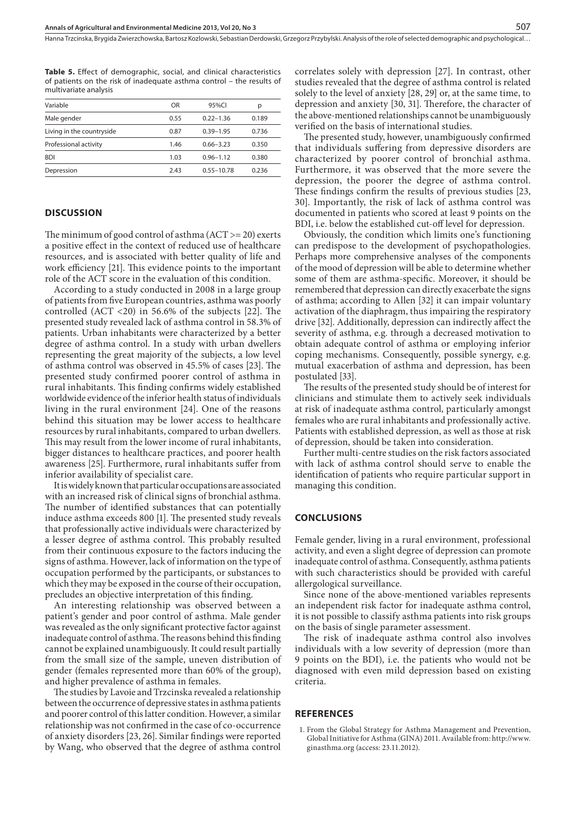**Table 5.** Effect of demographic, social, and clinical characteristics of patients on the risk of inadequate asthma control – the results of multivariate analysis

| OR   | 95%CI          | р     |
|------|----------------|-------|
| 0.55 | $0.22 - 1.36$  | 0.189 |
| 0.87 | $0.39 - 1.95$  | 0.736 |
| 1.46 | $0.66 - 3.23$  | 0.350 |
| 1.03 | $0.96 - 1.12$  | 0.380 |
| 2.43 | $0.55 - 10.78$ | 0.236 |
|      |                |       |

### **DISCUSSION**

The minimum of good control of asthma  $(ACT > = 20)$  exerts a positive effect in the context of reduced use of healthcare resources, and is associated with better quality of life and work efficiency [21]. This evidence points to the important role of the ACT score in the evaluation of this condition.

According to a study conducted in 2008 in a large group of patients from five European countries, asthma was poorly controlled (ACT <20) in 56.6% of the subjects [22]. The presented study revealed lack of asthma control in 58.3% of patients. Urban inhabitants were characterized by a better degree of asthma control. In a study with urban dwellers representing the great majority of the subjects, a low level of asthma control was observed in 45.5% of cases [23]. The presented study confirmed poorer control of asthma in rural inhabitants. This finding confirms widely established worldwide evidence of the inferior health status of individuals living in the rural environment [24]. One of the reasons behind this situation may be lower access to healthcare resources by rural inhabitants, compared to urban dwellers. This may result from the lower income of rural inhabitants, bigger distances to healthcare practices, and poorer health awareness [25]. Furthermore, rural inhabitants suffer from inferior availability of specialist care.

It is widely known that particular occupations are associated with an increased risk of clinical signs of bronchial asthma. The number of identified substances that can potentially induce asthma exceeds 800 [1]. The presented study reveals that professionally active individuals were characterized by a lesser degree of asthma control. This probably resulted from their continuous exposure to the factors inducing the signs of asthma. However, lack of information on the type of occupation performed by the participants, or substances to which they may be exposed in the course of their occupation, precludes an objective interpretation of this finding.

An interesting relationship was observed between a patient's gender and poor control of asthma. Male gender was revealed as the only significant protective factor against inadequate control of asthma. The reasons behind this finding cannot be explained unambiguously. It could result partially from the small size of the sample, uneven distribution of gender (females represented more than 60% of the group), and higher prevalence of asthma in females.

The studies by Lavoie and Trzcinska revealed a relationship between the occurrence of depressive states in asthma patients and poorer control of this latter condition. However, a similar relationship was not confirmed in the case of co-occurrence of anxiety disorders [23, 26]. Similar findings were reported by Wang, who observed that the degree of asthma control

correlates solely with depression [27]. In contrast, other studies revealed that the degree of asthma control is related solely to the level of anxiety [28, 29] or, at the same time, to depression and anxiety [30, 31]. Therefore, the character of the above-mentioned relationships cannot be unambiguously verified on the basis of international studies.

The presented study, however, unambiguously confirmed that individuals suffering from depressive disorders are characterized by poorer control of bronchial asthma. Furthermore, it was observed that the more severe the depression, the poorer the degree of asthma control. These findings confirm the results of previous studies [23, 30]. Importantly, the risk of lack of asthma control was documented in patients who scored at least 9 points on the BDI, i.e. below the established cut-off level for depression.

Obviously, the condition which limits one's functioning can predispose to the development of psychopathologies. Perhaps more comprehensive analyses of the components of the mood of depression will be able to determine whether some of them are asthma-specific. Moreover, it should be remembered that depression can directly exacerbate the signs of asthma; according to Allen [32] it can impair voluntary activation of the diaphragm, thus impairing the respiratory drive [32]. Additionally, depression can indirectly affect the severity of asthma, e.g. through a decreased motivation to obtain adequate control of asthma or employing inferior coping mechanisms. Consequently, possible synergy, e.g. mutual exacerbation of asthma and depression, has been postulated [33].

The results of the presented study should be of interest for clinicians and stimulate them to actively seek individuals at risk of inadequate asthma control, particularly amongst females who are rural inhabitants and professionally active. Patients with established depression, as well as those at risk of depression, should be taken into consideration.

Further multi-centre studies on the risk factors associated with lack of asthma control should serve to enable the identification of patients who require particular support in managing this condition.

#### **CONCLUSIONS**

Female gender, living in a rural environment, professional activity, and even a slight degree of depression can promote inadequate control of asthma. Consequently, asthma patients with such characteristics should be provided with careful allergological surveillance.

Since none of the above-mentioned variables represents an independent risk factor for inadequate asthma control, it is not possible to classify asthma patients into risk groups on the basis of single parameter assessment.

The risk of inadequate asthma control also involves individuals with a low severity of depression (more than 9 points on the BDI), i.e. the patients who would not be diagnosed with even mild depression based on existing criteria.

#### **REFERENCES**

1. From the Global Strategy for Asthma Management and Prevention, Global Initiative for Asthma (GINA) 2011. Available from: http://www. ginasthma.org (access: 23.11.2012).